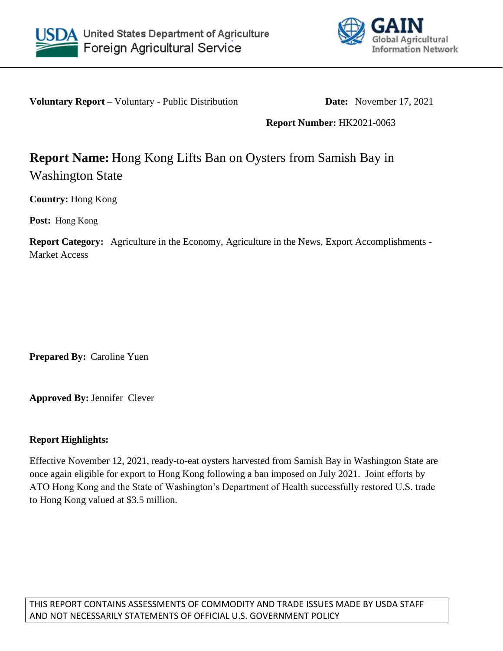



**Voluntary Report** – Voluntary - Public Distribution **Date:** November 17, 2021

**Report Number:** HK2021-0063

## **Report Name:** Hong Kong Lifts Ban on Oysters from Samish Bay in Washington State

**Country:** Hong Kong

**Post:** Hong Kong

**Report Category:** Agriculture in the Economy, Agriculture in the News, Export Accomplishments - Market Access

**Prepared By:** Caroline Yuen

**Approved By:** Jennifer Clever

## **Report Highlights:**

Effective November 12, 2021, ready-to-eat oysters harvested from Samish Bay in Washington State are once again eligible for export to Hong Kong following a ban imposed on July 2021. Joint efforts by ATO Hong Kong and the State of Washington's Department of Health successfully restored U.S. trade to Hong Kong valued at \$3.5 million.

THIS REPORT CONTAINS ASSESSMENTS OF COMMODITY AND TRADE ISSUES MADE BY USDA STAFF AND NOT NECESSARILY STATEMENTS OF OFFICIAL U.S. GOVERNMENT POLICY